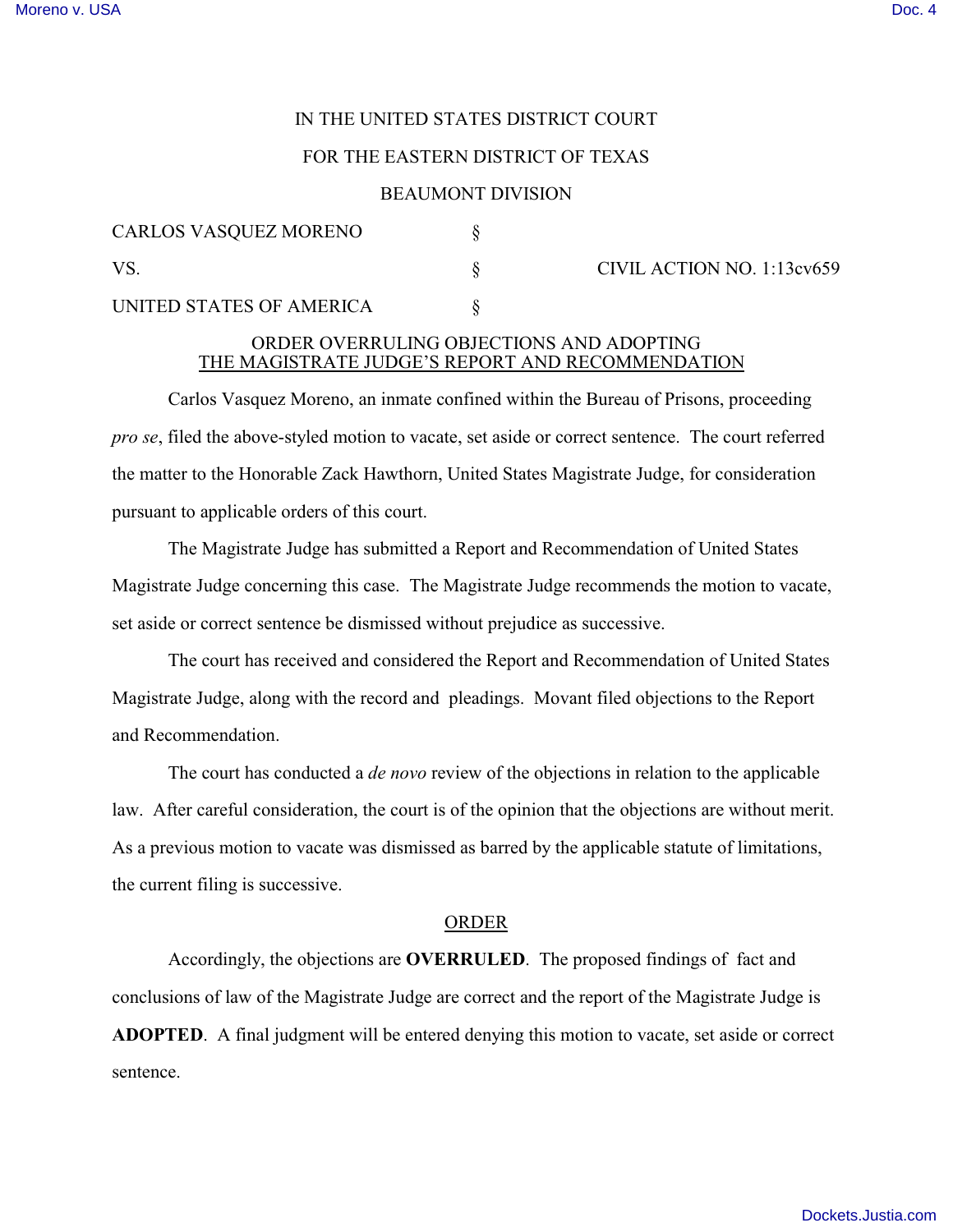# IN THE UNITED STATES DISTRICT COURT

## FOR THE EASTERN DISTRICT OF TEXAS

#### BEAUMONT DIVISION

| CARLOS VASQUEZ MORENO    |  |
|--------------------------|--|
| VS.                      |  |
| UNITED STATES OF AMERICA |  |

## CIVIL ACTION NO. 1:13cv659

## ORDER OVERRULING OBJECTIONS AND ADOPTING THE MAGISTRATE JUDGE'S REPORT AND RECOMMENDATION

Carlos Vasquez Moreno, an inmate confined within the Bureau of Prisons, proceeding *pro se*, filed the above-styled motion to vacate, set aside or correct sentence. The court referred the matter to the Honorable Zack Hawthorn, United States Magistrate Judge, for consideration pursuant to applicable orders of this court.

The Magistrate Judge has submitted a Report and Recommendation of United States Magistrate Judge concerning this case. The Magistrate Judge recommends the motion to vacate, set aside or correct sentence be dismissed without prejudice as successive.

The court has received and considered the Report and Recommendation of United States Magistrate Judge, along with the record and pleadings. Movant filed objections to the Report and Recommendation.

The court has conducted a *de novo* review of the objections in relation to the applicable law. After careful consideration, the court is of the opinion that the objections are without merit. As a previous motion to vacate was dismissed as barred by the applicable statute of limitations, the current filing is successive.

### ORDER

Accordingly, the objections are **OVERRULED**. The proposed findings of fact and conclusions of law of the Magistrate Judge are correct and the report of the Magistrate Judge is **ADOPTED**. A final judgment will be entered denying this motion to vacate, set aside or correct sentence.